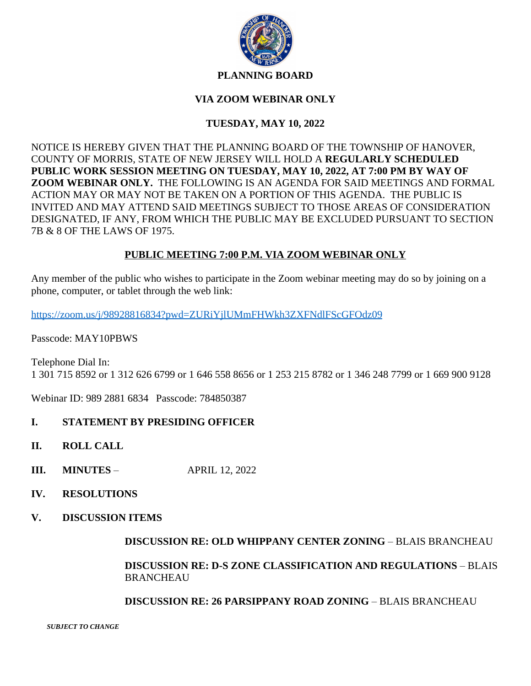

### **PLANNING BOARD**

## **VIA ZOOM WEBINAR ONLY**

# **TUESDAY, MAY 10, 2022**

NOTICE IS HEREBY GIVEN THAT THE PLANNING BOARD OF THE TOWNSHIP OF HANOVER, COUNTY OF MORRIS, STATE OF NEW JERSEY WILL HOLD A **REGULARLY SCHEDULED PUBLIC WORK SESSION MEETING ON TUESDAY, MAY 10, 2022, AT 7:00 PM BY WAY OF ZOOM WEBINAR ONLY.** THE FOLLOWING IS AN AGENDA FOR SAID MEETINGS AND FORMAL ACTION MAY OR MAY NOT BE TAKEN ON A PORTION OF THIS AGENDA. THE PUBLIC IS INVITED AND MAY ATTEND SAID MEETINGS SUBJECT TO THOSE AREAS OF CONSIDERATION DESIGNATED, IF ANY, FROM WHICH THE PUBLIC MAY BE EXCLUDED PURSUANT TO SECTION 7B & 8 OF THE LAWS OF 1975.

## **PUBLIC MEETING 7:00 P.M. VIA ZOOM WEBINAR ONLY**

Any member of the public who wishes to participate in the Zoom webinar meeting may do so by joining on a phone, computer, or tablet through the web link:

<https://zoom.us/j/98928816834?pwd=ZURiYjlUMmFHWkh3ZXFNdlFScGFOdz09>

Passcode: MAY10PBWS

Telephone Dial In: 1 301 715 8592 or 1 312 626 6799 or 1 646 558 8656 or 1 253 215 8782 or 1 346 248 7799 or 1 669 900 9128

Webinar ID: 989 2881 6834 Passcode: 784850387

### **I. STATEMENT BY PRESIDING OFFICER**

- **II. ROLL CALL**
- **III. MINUTES**  APRIL 12, 2022
- **IV. RESOLUTIONS**
- **V. DISCUSSION ITEMS**

**DISCUSSION RE: OLD WHIPPANY CENTER ZONING** – BLAIS BRANCHEAU

**DISCUSSION RE: D-S ZONE CLASSIFICATION AND REGULATIONS** – BLAIS BRANCHEAU

**DISCUSSION RE: 26 PARSIPPANY ROAD ZONING** – BLAIS BRANCHEAU